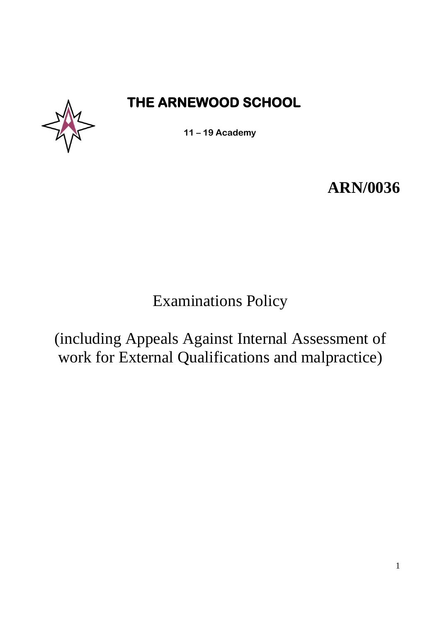# **THE ARNEWOOD SCHOOL**



**11 – 19 Academy**

## **ARN/0036**

# Examinations Policy

## (including Appeals Against Internal Assessment of work for External Qualifications and malpractice)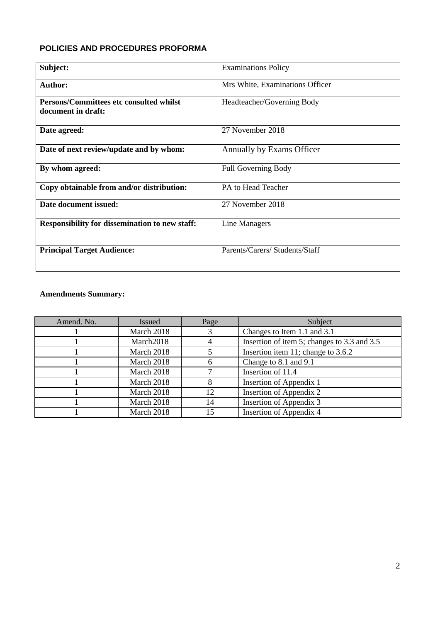## **POLICIES AND PROCEDURES PROFORMA**

| Subject:                                                      | <b>Examinations Policy</b>      |
|---------------------------------------------------------------|---------------------------------|
| <b>Author:</b>                                                | Mrs White, Examinations Officer |
| Persons/Committees etc consulted whilst<br>document in draft: | Headteacher/Governing Body      |
| Date agreed:                                                  | 27 November 2018                |
| Date of next review/update and by whom:                       | Annually by Exams Officer       |
| By whom agreed:                                               | <b>Full Governing Body</b>      |
| Copy obtainable from and/or distribution:                     | PA to Head Teacher              |
| Date document issued:                                         | 27 November 2018                |
| <b>Responsibility for dissemination to new staff:</b>         | Line Managers                   |
| <b>Principal Target Audience:</b>                             | Parents/Carers/ Students/Staff  |

## **Amendments Summary:**

| Amend. No. | <b>Issued</b> | Page | Subject                                     |
|------------|---------------|------|---------------------------------------------|
|            | March 2018    |      | Changes to Item 1.1 and 3.1                 |
|            | March2018     |      | Insertion of item 5; changes to 3.3 and 3.5 |
|            | March 2018    |      | Insertion item 11; change to 3.6.2          |
|            | March 2018    |      | Change to 8.1 and 9.1                       |
|            | March 2018    |      | Insertion of 11.4                           |
|            | March 2018    |      | Insertion of Appendix 1                     |
|            | March 2018    | 12   | Insertion of Appendix 2                     |
|            | March 2018    | 14   | Insertion of Appendix 3                     |
|            | March 2018    | 15   | Insertion of Appendix 4                     |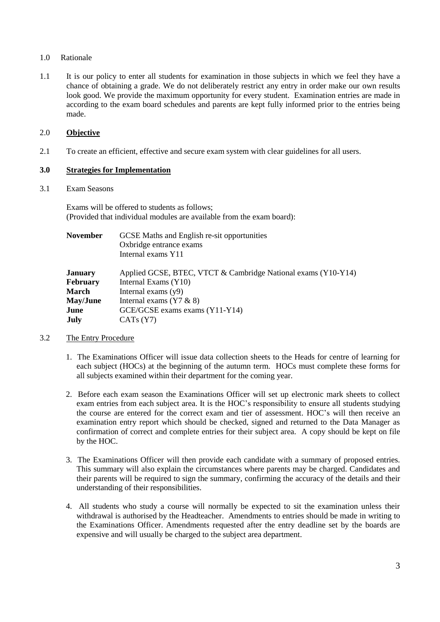- 1.0 Rationale
- 1.1 It is our policy to enter all students for examination in those subjects in which we feel they have a chance of obtaining a grade. We do not deliberately restrict any entry in order make our own results look good. We provide the maximum opportunity for every student. Examination entries are made in according to the exam board schedules and parents are kept fully informed prior to the entries being made.

## 2.0 **Objective**

2.1 To create an efficient, effective and secure exam system with clear guidelines for all users.

## **3.0 Strategies for Implementation**

#### 3.1 Exam Seasons

Exams will be offered to students as follows; (Provided that individual modules are available from the exam board):

| <b>November</b> | GCSE Maths and English re-sit opportunities                   |
|-----------------|---------------------------------------------------------------|
|                 | Oxbridge entrance exams                                       |
|                 | Internal exams Y11                                            |
| <b>January</b>  | Applied GCSE, BTEC, VTCT & Cambridge National exams (Y10-Y14) |
| <b>February</b> | Internal Exams (Y10)                                          |
| <b>March</b>    | Internal exams $(y9)$                                         |
| <b>May/June</b> | Internal exams $(Y7 \& 8)$                                    |
| June            | GCE/GCSE exams exams (Y11-Y14)                                |
| July            | CATs (Y7)                                                     |

## 3.2 The Entry Procedure

- 1. The Examinations Officer will issue data collection sheets to the Heads for centre of learning for each subject (HOCs) at the beginning of the autumn term. HOCs must complete these forms for all subjects examined within their department for the coming year.
- 2. Before each exam season the Examinations Officer will set up electronic mark sheets to collect exam entries from each subject area. It is the HOC's responsibility to ensure all students studying the course are entered for the correct exam and tier of assessment. HOC's will then receive an examination entry report which should be checked, signed and returned to the Data Manager as confirmation of correct and complete entries for their subject area. A copy should be kept on file by the HOC.
- 3. The Examinations Officer will then provide each candidate with a summary of proposed entries. This summary will also explain the circumstances where parents may be charged. Candidates and their parents will be required to sign the summary, confirming the accuracy of the details and their understanding of their responsibilities.
- 4. All students who study a course will normally be expected to sit the examination unless their withdrawal is authorised by the Headteacher. Amendments to entries should be made in writing to the Examinations Officer. Amendments requested after the entry deadline set by the boards are expensive and will usually be charged to the subject area department.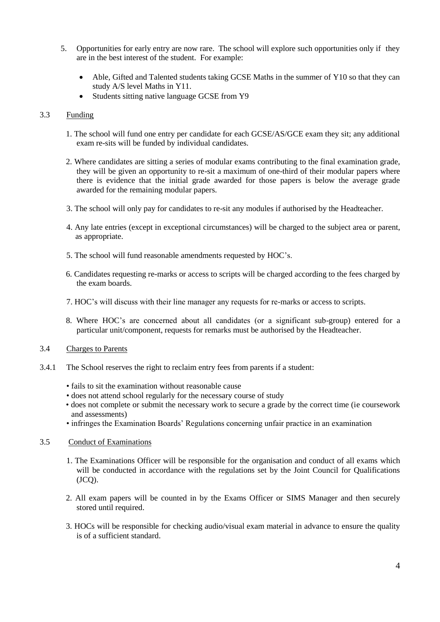- 5. Opportunities for early entry are now rare. The school will explore such opportunities only if they are in the best interest of the student. For example:
	- Able, Gifted and Talented students taking GCSE Maths in the summer of Y10 so that they can study A/S level Maths in Y11.
	- Students sitting native language GCSE from Y9

## 3.3 Funding

- 1. The school will fund one entry per candidate for each GCSE/AS/GCE exam they sit; any additional exam re-sits will be funded by individual candidates.
- 2. Where candidates are sitting a series of modular exams contributing to the final examination grade, they will be given an opportunity to re-sit a maximum of one-third of their modular papers where there is evidence that the initial grade awarded for those papers is below the average grade awarded for the remaining modular papers.
- 3. The school will only pay for candidates to re-sit any modules if authorised by the Headteacher.
- 4. Any late entries (except in exceptional circumstances) will be charged to the subject area or parent, as appropriate.
- 5. The school will fund reasonable amendments requested by HOC's.
- 6. Candidates requesting re-marks or access to scripts will be charged according to the fees charged by the exam boards.
- 7. HOC's will discuss with their line manager any requests for re-marks or access to scripts.
- 8. Where HOC's are concerned about all candidates (or a significant sub-group) entered for a particular unit/component, requests for remarks must be authorised by the Headteacher.
- 3.4 Charges to Parents
- 3.4.1 The School reserves the right to reclaim entry fees from parents if a student:
	- fails to sit the examination without reasonable cause
	- does not attend school regularly for the necessary course of study
	- does not complete or submit the necessary work to secure a grade by the correct time (ie coursework and assessments)
	- infringes the Examination Boards' Regulations concerning unfair practice in an examination
- 3.5 Conduct of Examinations
	- 1. The Examinations Officer will be responsible for the organisation and conduct of all exams which will be conducted in accordance with the regulations set by the Joint Council for Qualifications  $(JCQ).$
	- 2. All exam papers will be counted in by the Exams Officer or SIMS Manager and then securely stored until required.
	- 3. HOCs will be responsible for checking audio/visual exam material in advance to ensure the quality is of a sufficient standard.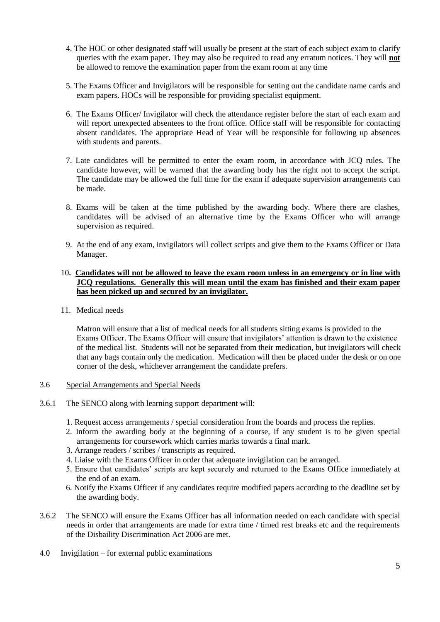- 4. The HOC or other designated staff will usually be present at the start of each subject exam to clarify queries with the exam paper. They may also be required to read any erratum notices. They will **not** be allowed to remove the examination paper from the exam room at any time
- 5. The Exams Officer and Invigilators will be responsible for setting out the candidate name cards and exam papers. HOCs will be responsible for providing specialist equipment.
- 6. The Exams Officer/ Invigilator will check the attendance register before the start of each exam and will report unexpected absentees to the front office. Office staff will be responsible for contacting absent candidates. The appropriate Head of Year will be responsible for following up absences with students and parents.
- 7. Late candidates will be permitted to enter the exam room, in accordance with JCQ rules. The candidate however, will be warned that the awarding body has the right not to accept the script. The candidate may be allowed the full time for the exam if adequate supervision arrangements can be made.
- 8. Exams will be taken at the time published by the awarding body. Where there are clashes, candidates will be advised of an alternative time by the Exams Officer who will arrange supervision as required.
- 9. At the end of any exam, invigilators will collect scripts and give them to the Exams Officer or Data Manager.

## 10**. Candidates will not be allowed to leave the exam room unless in an emergency or in line with JCQ regulations. Generally this will mean until the exam has finished and their exam paper has been picked up and secured by an invigilator.**

11. Medical needs

Matron will ensure that a list of medical needs for all students sitting exams is provided to the Exams Officer. The Exams Officer will ensure that invigilators' attention is drawn to the existence of the medical list. Students will not be separated from their medication, but invigilators will check that any bags contain only the medication. Medication will then be placed under the desk or on one corner of the desk, whichever arrangement the candidate prefers.

## 3.6 Special Arrangements and Special Needs

- 3.6.1 The SENCO along with learning support department will:
	- 1. Request access arrangements / special consideration from the boards and process the replies.
	- 2. Inform the awarding body at the beginning of a course, if any student is to be given special arrangements for coursework which carries marks towards a final mark.
	- 3. Arrange readers / scribes / transcripts as required.
	- 4. Liaise with the Exams Officer in order that adequate invigilation can be arranged.
	- 5. Ensure that candidates' scripts are kept securely and returned to the Exams Office immediately at the end of an exam.
	- 6. Notify the Exams Officer if any candidates require modified papers according to the deadline set by the awarding body.
- 3.6.2 The SENCO will ensure the Exams Officer has all information needed on each candidate with special needs in order that arrangements are made for extra time / timed rest breaks etc and the requirements of the Disbaility Discrimination Act 2006 are met.
- 4.0 Invigilation for external public examinations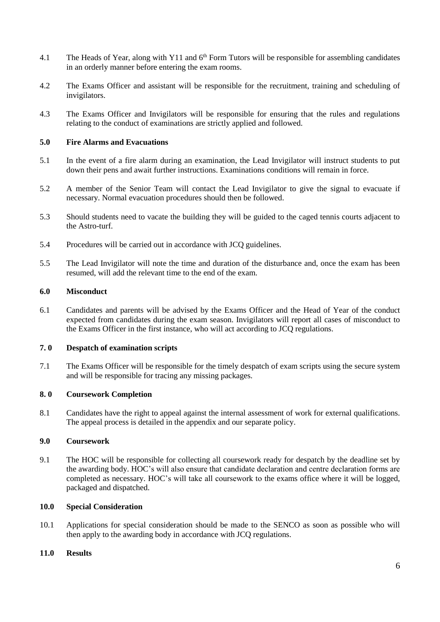- 4.1 The Heads of Year, along with Y11 and 6<sup>th</sup> Form Tutors will be responsible for assembling candidates in an orderly manner before entering the exam rooms.
- 4.2 The Exams Officer and assistant will be responsible for the recruitment, training and scheduling of invigilators.
- 4.3 The Exams Officer and Invigilators will be responsible for ensuring that the rules and regulations relating to the conduct of examinations are strictly applied and followed.

## **5.0 Fire Alarms and Evacuations**

- 5.1 In the event of a fire alarm during an examination, the Lead Invigilator will instruct students to put down their pens and await further instructions. Examinations conditions will remain in force.
- 5.2 A member of the Senior Team will contact the Lead Invigilator to give the signal to evacuate if necessary. Normal evacuation procedures should then be followed.
- 5.3 Should students need to vacate the building they will be guided to the caged tennis courts adjacent to the Astro-turf.
- 5.4 Procedures will be carried out in accordance with JCQ guidelines.
- 5.5 The Lead Invigilator will note the time and duration of the disturbance and, once the exam has been resumed, will add the relevant time to the end of the exam.

#### **6.0 Misconduct**

6.1 Candidates and parents will be advised by the Exams Officer and the Head of Year of the conduct expected from candidates during the exam season. Invigilators will report all cases of misconduct to the Exams Officer in the first instance, who will act according to JCQ regulations.

#### **7. 0 Despatch of examination scripts**

7.1 The Exams Officer will be responsible for the timely despatch of exam scripts using the secure system and will be responsible for tracing any missing packages.

## **8. 0 Coursework Completion**

8.1 Candidates have the right to appeal against the internal assessment of work for external qualifications. The appeal process is detailed in the appendix and our separate policy.

#### **9.0 Coursework**

9.1 The HOC will be responsible for collecting all coursework ready for despatch by the deadline set by the awarding body. HOC's will also ensure that candidate declaration and centre declaration forms are completed as necessary. HOC's will take all coursework to the exams office where it will be logged, packaged and dispatched.

#### **10.0 Special Consideration**

10.1 Applications for special consideration should be made to the SENCO as soon as possible who will then apply to the awarding body in accordance with JCQ regulations.

## **11.0 Results**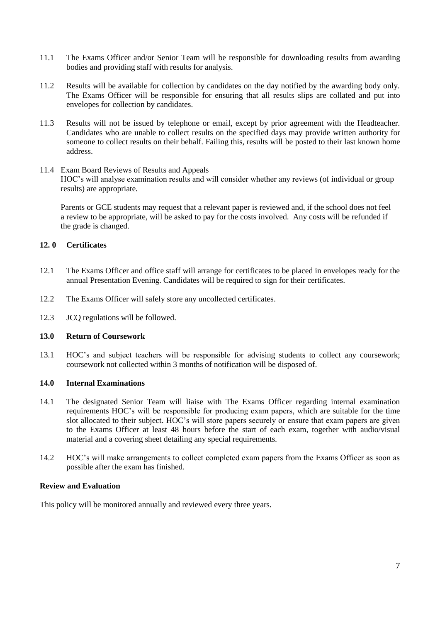- 11.1 The Exams Officer and/or Senior Team will be responsible for downloading results from awarding bodies and providing staff with results for analysis.
- 11.2 Results will be available for collection by candidates on the day notified by the awarding body only. The Exams Officer will be responsible for ensuring that all results slips are collated and put into envelopes for collection by candidates.
- 11.3 Results will not be issued by telephone or email, except by prior agreement with the Headteacher. Candidates who are unable to collect results on the specified days may provide written authority for someone to collect results on their behalf. Failing this, results will be posted to their last known home address.

## 11.4 Exam Board Reviews of Results and Appeals HOC's will analyse examination results and will consider whether any reviews (of individual or group results) are appropriate.

Parents or GCE students may request that a relevant paper is reviewed and, if the school does not feel a review to be appropriate, will be asked to pay for the costs involved. Any costs will be refunded if the grade is changed.

## **12. 0 Certificates**

- 12.1 The Exams Officer and office staff will arrange for certificates to be placed in envelopes ready for the annual Presentation Evening. Candidates will be required to sign for their certificates.
- 12.2 The Exams Officer will safely store any uncollected certificates.
- 12.3 JCQ regulations will be followed.

## **13.0 Return of Coursework**

13.1 HOC's and subject teachers will be responsible for advising students to collect any coursework; coursework not collected within 3 months of notification will be disposed of.

## **14.0 Internal Examinations**

- 14.1 The designated Senior Team will liaise with The Exams Officer regarding internal examination requirements HOC's will be responsible for producing exam papers, which are suitable for the time slot allocated to their subject. HOC's will store papers securely or ensure that exam papers are given to the Exams Officer at least 48 hours before the start of each exam, together with audio/visual material and a covering sheet detailing any special requirements.
- 14.2 HOC's will make arrangements to collect completed exam papers from the Exams Officer as soon as possible after the exam has finished.

## **Review and Evaluation**

This policy will be monitored annually and reviewed every three years.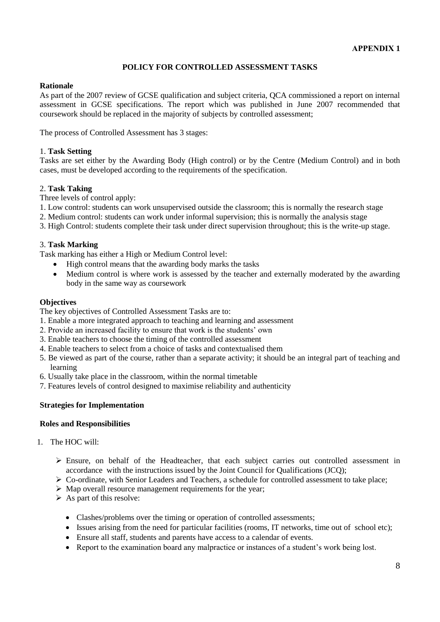## **POLICY FOR CONTROLLED ASSESSMENT TASKS**

## **Rationale**

As part of the 2007 review of GCSE qualification and subject criteria, QCA commissioned a report on internal assessment in GCSE specifications. The report which was published in June 2007 recommended that coursework should be replaced in the majority of subjects by controlled assessment;

The process of Controlled Assessment has 3 stages:

## 1. **Task Setting**

Tasks are set either by the Awarding Body (High control) or by the Centre (Medium Control) and in both cases, must be developed according to the requirements of the specification.

## 2. **Task Taking**

Three levels of control apply:

1. Low control: students can work unsupervised outside the classroom; this is normally the research stage

2. Medium control: students can work under informal supervision; this is normally the analysis stage

3. High Control: students complete their task under direct supervision throughout; this is the write-up stage.

## 3. **Task Marking**

Task marking has either a High or Medium Control level:

- High control means that the awarding body marks the tasks
- Medium control is where work is assessed by the teacher and externally moderated by the awarding body in the same way as coursework

## **Objectives**

The key objectives of Controlled Assessment Tasks are to:

- 1. Enable a more integrated approach to teaching and learning and assessment
- 2. Provide an increased facility to ensure that work is the students' own
- 3. Enable teachers to choose the timing of the controlled assessment
- 4. Enable teachers to select from a choice of tasks and contextualised them
- 5. Be viewed as part of the course, rather than a separate activity; it should be an integral part of teaching and learning
- 6. Usually take place in the classroom, within the normal timetable
- 7. Features levels of control designed to maximise reliability and authenticity

## **Strategies for Implementation**

## **Roles and Responsibilities**

- 1. The HOC will:
	- Ensure, on behalf of the Headteacher, that each subject carries out controlled assessment in accordance with the instructions issued by the Joint Council for Qualifications (JCQ);
	- $\triangleright$  Co-ordinate, with Senior Leaders and Teachers, a schedule for controlled assessment to take place;
	- $\triangleright$  Map overall resource management requirements for the year;
	- $\triangleright$  As part of this resolve:
		- Clashes/problems over the timing or operation of controlled assessments;
		- Issues arising from the need for particular facilities (rooms, IT networks, time out of school etc);
		- Ensure all staff, students and parents have access to a calendar of events.
		- Report to the examination board any malpractice or instances of a student's work being lost.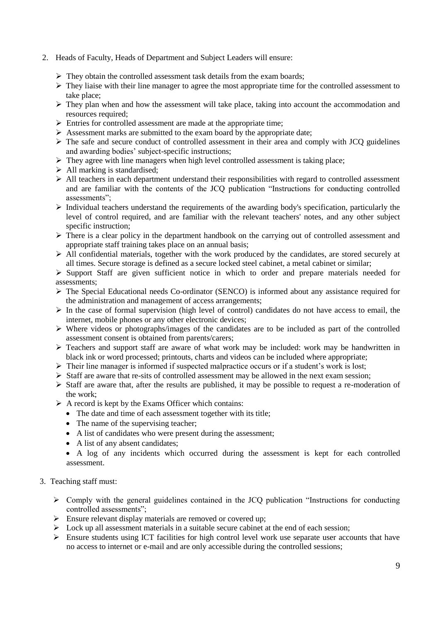- 2. Heads of Faculty, Heads of Department and Subject Leaders will ensure:
	- $\triangleright$  They obtain the controlled assessment task details from the exam boards;
	- $\triangleright$  They liaise with their line manager to agree the most appropriate time for the controlled assessment to take place;
	- $\triangleright$  They plan when and how the assessment will take place, taking into account the accommodation and resources required;
	- $\triangleright$  Entries for controlled assessment are made at the appropriate time;
	- $\triangleright$  Assessment marks are submitted to the exam board by the appropriate date;
	- The safe and secure conduct of controlled assessment in their area and comply with JCQ guidelines and awarding bodies' subject-specific instructions;
	- $\triangleright$  They agree with line managers when high level controlled assessment is taking place;
	- $\triangleright$  All marking is standardised;
	- $\triangleright$  All teachers in each department understand their responsibilities with regard to controlled assessment and are familiar with the contents of the JCQ publication "Instructions for conducting controlled assessments";
	- $\triangleright$  Individual teachers understand the requirements of the awarding body's specification, particularly the level of control required, and are familiar with the relevant teachers' notes, and any other subject specific instruction;
	- $\triangleright$  There is a clear policy in the department handbook on the carrying out of controlled assessment and appropriate staff training takes place on an annual basis;
	- All confidential materials, together with the work produced by the candidates, are stored securely at all times. Secure storage is defined as a secure locked steel cabinet, a metal cabinet or similar;
	- $\triangleright$  Support Staff are given sufficient notice in which to order and prepare materials needed for assessments;
	- $\triangleright$  The Special Educational needs Co-ordinator (SENCO) is informed about any assistance required for the administration and management of access arrangements;
	- $\triangleright$  In the case of formal supervision (high level of control) candidates do not have access to email, the internet, mobile phones or any other electronic devices;
	- $\triangleright$  Where videos or photographs/images of the candidates are to be included as part of the controlled assessment consent is obtained from parents/carers;
	- $\triangleright$  Teachers and support staff are aware of what work may be included: work may be handwritten in black ink or word processed; printouts, charts and videos can be included where appropriate;
	- $\triangleright$  Their line manager is informed if suspected malpractice occurs or if a student's work is lost;
	- $\triangleright$  Staff are aware that re-sits of controlled assessment may be allowed in the next exam session;
	- $\triangleright$  Staff are aware that, after the results are published, it may be possible to request a re-moderation of the work;
	- $\triangleright$  A record is kept by the Exams Officer which contains:
		- The date and time of each assessment together with its title;
		- The name of the supervising teacher;
		- A list of candidates who were present during the assessment;
		- A list of any absent candidates:

 A log of any incidents which occurred during the assessment is kept for each controlled assessment.

- 3. Teaching staff must:
	- $\triangleright$  Comply with the general guidelines contained in the JCQ publication "Instructions for conducting controlled assessments";
	- $\triangleright$  Ensure relevant display materials are removed or covered up:
	- $\triangleright$  Lock up all assessment materials in a suitable secure cabinet at the end of each session;
	- $\triangleright$  Ensure students using ICT facilities for high control level work use separate user accounts that have no access to internet or e-mail and are only accessible during the controlled sessions;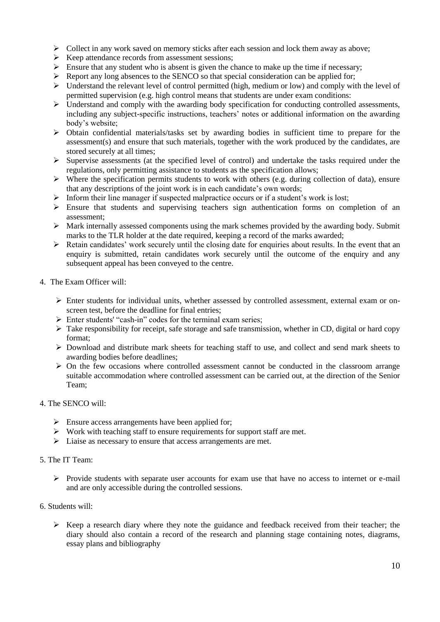- $\triangleright$  Collect in any work saved on memory sticks after each session and lock them away as above;
- $\triangleright$  Keep attendance records from assessment sessions;
- $\triangleright$  Ensure that any student who is absent is given the chance to make up the time if necessary;
- $\triangleright$  Report any long absences to the SENCO so that special consideration can be applied for;
- $\triangleright$  Understand the relevant level of control permitted (high, medium or low) and comply with the level of permitted supervision (e.g. high control means that students are under exam conditions:
- Understand and comply with the awarding body specification for conducting controlled assessments, including any subject-specific instructions, teachers' notes or additional information on the awarding body's website;
- $\triangleright$  Obtain confidential materials/tasks set by awarding bodies in sufficient time to prepare for the assessment(s) and ensure that such materials, together with the work produced by the candidates, are stored securely at all times;
- $\triangleright$  Supervise assessments (at the specified level of control) and undertake the tasks required under the regulations, only permitting assistance to students as the specification allows;
- $\triangleright$  Where the specification permits students to work with others (e.g. during collection of data), ensure that any descriptions of the joint work is in each candidate's own words;
- $\triangleright$  Inform their line manager if suspected malpractice occurs or if a student's work is lost;
- $\triangleright$  Ensure that students and supervising teachers sign authentication forms on completion of an assessment;
- $\triangleright$  Mark internally assessed components using the mark schemes provided by the awarding body. Submit marks to the TLR holder at the date required, keeping a record of the marks awarded;
- $\triangleright$  Retain candidates' work securely until the closing date for enquiries about results. In the event that an enquiry is submitted, retain candidates work securely until the outcome of the enquiry and any subsequent appeal has been conveyed to the centre.
- 4. The Exam Officer will:
	- $\triangleright$  Enter students for individual units, whether assessed by controlled assessment, external exam or onscreen test, before the deadline for final entries;
	- $\triangleright$  Enter students' "cash-in" codes for the terminal exam series;
	- $\triangleright$  Take responsibility for receipt, safe storage and safe transmission, whether in CD, digital or hard copy format;
	- $\triangleright$  Download and distribute mark sheets for teaching staff to use, and collect and send mark sheets to awarding bodies before deadlines;
	- $\triangleright$  On the few occasions where controlled assessment cannot be conducted in the classroom arrange suitable accommodation where controlled assessment can be carried out, at the direction of the Senior Team;
- 4. The SENCO will:
	- $\triangleright$  Ensure access arrangements have been applied for;
	- $\triangleright$  Work with teaching staff to ensure requirements for support staff are met.
	- $\triangleright$  Liaise as necessary to ensure that access arrangements are met.
- 5. The IT Team:
	- $\triangleright$  Provide students with separate user accounts for exam use that have no access to internet or e-mail and are only accessible during the controlled sessions.
- 6. Students will:
	- $\triangleright$  Keep a research diary where they note the guidance and feedback received from their teacher; the diary should also contain a record of the research and planning stage containing notes, diagrams, essay plans and bibliography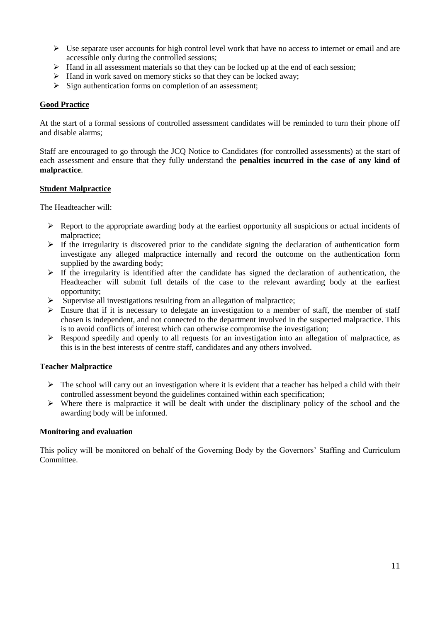- $\triangleright$  Use separate user accounts for high control level work that have no access to internet or email and are accessible only during the controlled sessions;
- $\triangleright$  Hand in all assessment materials so that they can be locked up at the end of each session;
- $\triangleright$  Hand in work saved on memory sticks so that they can be locked away;
- $\triangleright$  Sign authentication forms on completion of an assessment;

## **Good Practice**

At the start of a formal sessions of controlled assessment candidates will be reminded to turn their phone off and disable alarms;

Staff are encouraged to go through the JCQ Notice to Candidates (for controlled assessments) at the start of each assessment and ensure that they fully understand the **penalties incurred in the case of any kind of malpractice**.

## **Student Malpractice**

The Headteacher will:

- $\triangleright$  Report to the appropriate awarding body at the earliest opportunity all suspicions or actual incidents of malpractice;
- $\triangleright$  If the irregularity is discovered prior to the candidate signing the declaration of authentication form investigate any alleged malpractice internally and record the outcome on the authentication form supplied by the awarding body;
- $\triangleright$  If the irregularity is identified after the candidate has signed the declaration of authentication, the Headteacher will submit full details of the case to the relevant awarding body at the earliest opportunity;
- $\triangleright$  Supervise all investigations resulting from an allegation of malpractice;
- $\triangleright$  Ensure that if it is necessary to delegate an investigation to a member of staff, the member of staff chosen is independent, and not connected to the department involved in the suspected malpractice. This is to avoid conflicts of interest which can otherwise compromise the investigation;
- $\triangleright$  Respond speedily and openly to all requests for an investigation into an allegation of malpractice, as this is in the best interests of centre staff, candidates and any others involved.

## **Teacher Malpractice**

- $\triangleright$  The school will carry out an investigation where it is evident that a teacher has helped a child with their controlled assessment beyond the guidelines contained within each specification;
- $\triangleright$  Where there is malpractice it will be dealt with under the disciplinary policy of the school and the awarding body will be informed.

## **Monitoring and evaluation**

This policy will be monitored on behalf of the Governing Body by the Governors' Staffing and Curriculum Committee.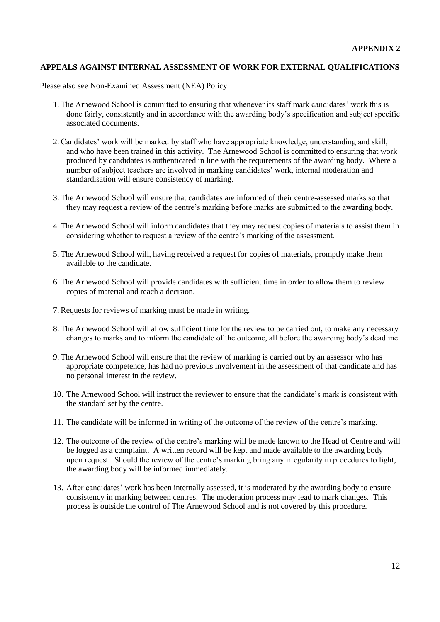#### **APPEALS AGAINST INTERNAL ASSESSMENT OF WORK FOR EXTERNAL QUALIFICATIONS**

Please also see Non-Examined Assessment (NEA) Policy

- 1. The Arnewood School is committed to ensuring that whenever its staff mark candidates' work this is done fairly, consistently and in accordance with the awarding body's specification and subject specific associated documents.
- 2. Candidates' work will be marked by staff who have appropriate knowledge, understanding and skill, and who have been trained in this activity. The Arnewood School is committed to ensuring that work produced by candidates is authenticated in line with the requirements of the awarding body. Where a number of subject teachers are involved in marking candidates' work, internal moderation and standardisation will ensure consistency of marking.
- 3. The Arnewood School will ensure that candidates are informed of their centre-assessed marks so that they may request a review of the centre's marking before marks are submitted to the awarding body.
- 4. The Arnewood School will inform candidates that they may request copies of materials to assist them in considering whether to request a review of the centre's marking of the assessment.
- 5. The Arnewood School will, having received a request for copies of materials, promptly make them available to the candidate.
- 6. The Arnewood School will provide candidates with sufficient time in order to allow them to review copies of material and reach a decision.
- 7. Requests for reviews of marking must be made in writing.
- 8. The Arnewood School will allow sufficient time for the review to be carried out, to make any necessary changes to marks and to inform the candidate of the outcome, all before the awarding body's deadline.
- 9. The Arnewood School will ensure that the review of marking is carried out by an assessor who has appropriate competence, has had no previous involvement in the assessment of that candidate and has no personal interest in the review.
- 10. The Arnewood School will instruct the reviewer to ensure that the candidate's mark is consistent with the standard set by the centre.
- 11. The candidate will be informed in writing of the outcome of the review of the centre's marking.
- 12. The outcome of the review of the centre's marking will be made known to the Head of Centre and will be logged as a complaint. A written record will be kept and made available to the awarding body upon request. Should the review of the centre's marking bring any irregularity in procedures to light, the awarding body will be informed immediately.
- 13. After candidates' work has been internally assessed, it is moderated by the awarding body to ensure consistency in marking between centres. The moderation process may lead to mark changes. This process is outside the control of The Arnewood School and is not covered by this procedure.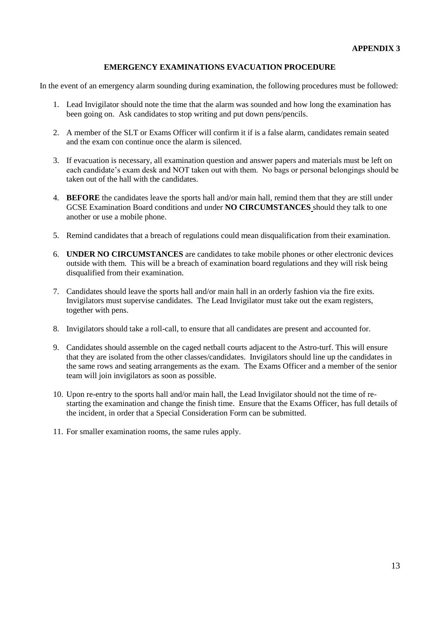## **EMERGENCY EXAMINATIONS EVACUATION PROCEDURE**

In the event of an emergency alarm sounding during examination, the following procedures must be followed:

- 1. Lead Invigilator should note the time that the alarm was sounded and how long the examination has been going on. Ask candidates to stop writing and put down pens/pencils.
- 2. A member of the SLT or Exams Officer will confirm it if is a false alarm, candidates remain seated and the exam con continue once the alarm is silenced.
- 3. If evacuation is necessary, all examination question and answer papers and materials must be left on each candidate's exam desk and NOT taken out with them. No bags or personal belongings should be taken out of the hall with the candidates.
- 4. **BEFORE** the candidates leave the sports hall and/or main hall, remind them that they are still under GCSE Examination Board conditions and under **NO CIRCUMSTANCES** should they talk to one another or use a mobile phone.
- 5. Remind candidates that a breach of regulations could mean disqualification from their examination.
- 6. **UNDER NO CIRCUMSTANCES** are candidates to take mobile phones or other electronic devices outside with them. This will be a breach of examination board regulations and they will risk being disqualified from their examination.
- 7. Candidates should leave the sports hall and/or main hall in an orderly fashion via the fire exits. Invigilators must supervise candidates. The Lead Invigilator must take out the exam registers, together with pens.
- 8. Invigilators should take a roll-call, to ensure that all candidates are present and accounted for.
- 9. Candidates should assemble on the caged netball courts adjacent to the Astro-turf. This will ensure that they are isolated from the other classes/candidates. Invigilators should line up the candidates in the same rows and seating arrangements as the exam. The Exams Officer and a member of the senior team will join invigilators as soon as possible.
- 10. Upon re-entry to the sports hall and/or main hall, the Lead Invigilator should not the time of restarting the examination and change the finish time. Ensure that the Exams Officer, has full details of the incident, in order that a Special Consideration Form can be submitted.
- 11. For smaller examination rooms, the same rules apply.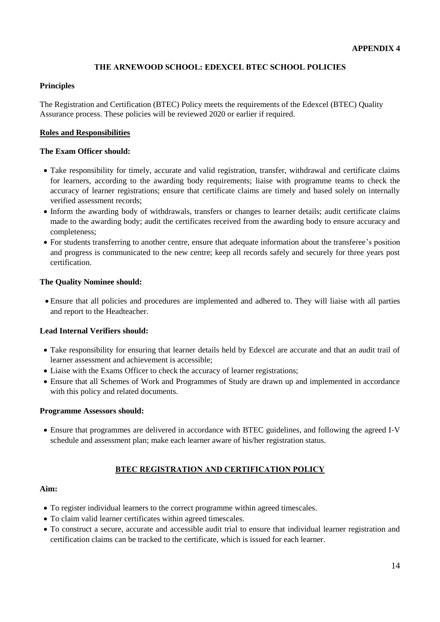## **THE ARNEWOOD SCHOOL: EDEXCEL BTEC SCHOOL POLICIES**

## **Principles**

The Registration and Certification (BTEC) Policy meets the requirements of the Edexcel (BTEC) Quality Assurance process. These policies will be reviewed 2020 or earlier if required.

## **Roles and Responsibilities**

## **The Exam Officer should:**

- Take responsibility for timely, accurate and valid registration, transfer, withdrawal and certificate claims for learners, according to the awarding body requirements; liaise with programme teams to check the accuracy of learner registrations; ensure that certificate claims are timely and based solely on internally verified assessment records;
- Inform the awarding body of withdrawals, transfers or changes to learner details; audit certificate claims made to the awarding body; audit the certificates received from the awarding body to ensure accuracy and completeness;
- For students transferring to another centre, ensure that adequate information about the transferee's position and progress is communicated to the new centre; keep all records safely and securely for three years post certification.

## **The Quality Nominee should:**

 Ensure that all policies and procedures are implemented and adhered to. They will liaise with all parties and report to the Headteacher.

## **Lead Internal Verifiers should:**

- Take responsibility for ensuring that learner details held by Edexcel are accurate and that an audit trail of learner assessment and achievement is accessible;
- Liaise with the Exams Officer to check the accuracy of learner registrations;
- Ensure that all Schemes of Work and Programmes of Study are drawn up and implemented in accordance with this policy and related documents.

## **Programme Assessors should:**

 Ensure that programmes are delivered in accordance with BTEC guidelines, and following the agreed I‐V schedule and assessment plan; make each learner aware of his/her registration status.

## **BTEC REGISTRATION AND CERTIFICATION POLICY**

## **Aim:**

- To register individual learners to the correct programme within agreed timescales.
- To claim valid learner certificates within agreed timescales.
- To construct a secure, accurate and accessible audit trial to ensure that individual learner registration and certification claims can be tracked to the certificate, which is issued for each learner.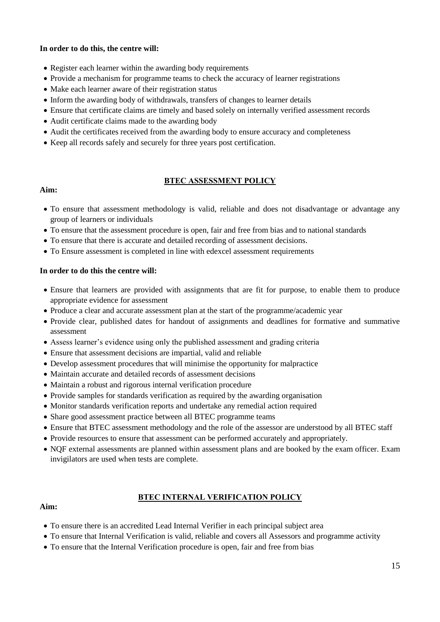## **In order to do this, the centre will:**

- Register each learner within the awarding body requirements
- Provide a mechanism for programme teams to check the accuracy of learner registrations
- Make each learner aware of their registration status
- Inform the awarding body of withdrawals, transfers of changes to learner details
- Ensure that certificate claims are timely and based solely on internally verified assessment records
- Audit certificate claims made to the awarding body
- Audit the certificates received from the awarding body to ensure accuracy and completeness
- Keep all records safely and securely for three years post certification.

## **BTEC ASSESSMENT POLICY**

## **Aim:**

- To ensure that assessment methodology is valid, reliable and does not disadvantage or advantage any group of learners or individuals
- To ensure that the assessment procedure is open, fair and free from bias and to national standards
- To ensure that there is accurate and detailed recording of assessment decisions.
- To Ensure assessment is completed in line with edexcel assessment requirements

## **In order to do this the centre will:**

- Ensure that learners are provided with assignments that are fit for purpose, to enable them to produce appropriate evidence for assessment
- Produce a clear and accurate assessment plan at the start of the programme/academic year
- Provide clear, published dates for handout of assignments and deadlines for formative and summative assessment
- Assess learner's evidence using only the published assessment and grading criteria
- Ensure that assessment decisions are impartial, valid and reliable
- Develop assessment procedures that will minimise the opportunity for malpractice
- Maintain accurate and detailed records of assessment decisions
- Maintain a robust and rigorous internal verification procedure
- Provide samples for standards verification as required by the awarding organisation
- Monitor standards verification reports and undertake any remedial action required
- Share good assessment practice between all BTEC programme teams
- Ensure that BTEC assessment methodology and the role of the assessor are understood by all BTEC staff
- Provide resources to ensure that assessment can be performed accurately and appropriately.
- NOF external assessments are planned within assessment plans and are booked by the exam officer. Exam invigilators are used when tests are complete.

## **BTEC INTERNAL VERIFICATION POLICY**

## **Aim:**

- To ensure there is an accredited Lead Internal Verifier in each principal subject area
- To ensure that Internal Verification is valid, reliable and covers all Assessors and programme activity
- To ensure that the Internal Verification procedure is open, fair and free from bias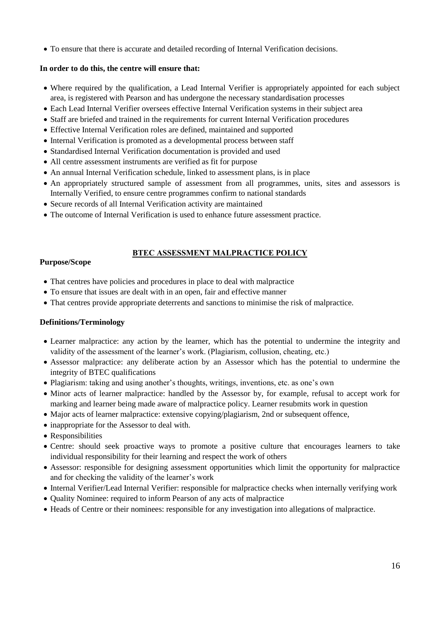To ensure that there is accurate and detailed recording of Internal Verification decisions.

## **In order to do this, the centre will ensure that:**

- Where required by the qualification, a Lead Internal Verifier is appropriately appointed for each subject area, is registered with Pearson and has undergone the necessary standardisation processes
- Each Lead Internal Verifier oversees effective Internal Verification systems in their subject area
- Staff are briefed and trained in the requirements for current Internal Verification procedures
- Effective Internal Verification roles are defined, maintained and supported
- Internal Verification is promoted as a developmental process between staff
- Standardised Internal Verification documentation is provided and used
- All centre assessment instruments are verified as fit for purpose
- An annual Internal Verification schedule, linked to assessment plans, is in place
- An appropriately structured sample of assessment from all programmes, units, sites and assessors is Internally Verified, to ensure centre programmes confirm to national standards
- Secure records of all Internal Verification activity are maintained
- The outcome of Internal Verification is used to enhance future assessment practice.

## **BTEC ASSESSMENT MALPRACTICE POLICY**

## **Purpose/Scope**

- That centres have policies and procedures in place to deal with malpractice
- To ensure that issues are dealt with in an open, fair and effective manner
- That centres provide appropriate deterrents and sanctions to minimise the risk of malpractice.

## **Definitions/Terminology**

- Learner malpractice: any action by the learner, which has the potential to undermine the integrity and validity of the assessment of the learner's work. (Plagiarism, collusion, cheating, etc.)
- Assessor malpractice: any deliberate action by an Assessor which has the potential to undermine the integrity of BTEC qualifications
- Plagiarism: taking and using another's thoughts, writings, inventions, etc. as one's own
- Minor acts of learner malpractice: handled by the Assessor by, for example, refusal to accept work for marking and learner being made aware of malpractice policy. Learner resubmits work in question
- Major acts of learner malpractice: extensive copying/plagiarism, 2nd or subsequent offence,
- inappropriate for the Assessor to deal with.
- Responsibilities
- Centre: should seek proactive ways to promote a positive culture that encourages learners to take individual responsibility for their learning and respect the work of others
- Assessor: responsible for designing assessment opportunities which limit the opportunity for malpractice and for checking the validity of the learner's work
- Internal Verifier/Lead Internal Verifier: responsible for malpractice checks when internally verifying work
- Quality Nominee: required to inform Pearson of any acts of malpractice
- Heads of Centre or their nominees: responsible for any investigation into allegations of malpractice.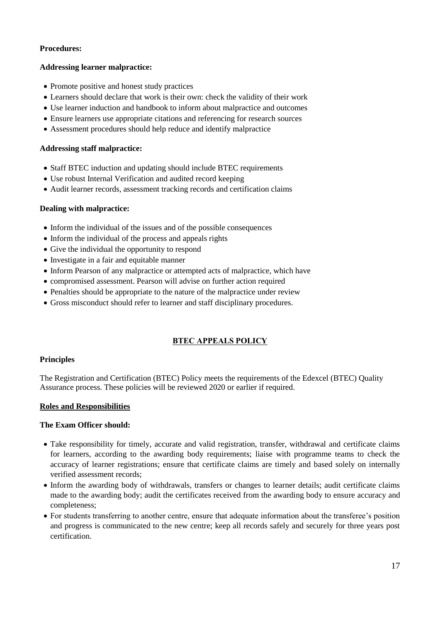## **Procedures:**

## **Addressing learner malpractice:**

- Promote positive and honest study practices
- Learners should declare that work is their own: check the validity of their work
- Use learner induction and handbook to inform about malpractice and outcomes
- Ensure learners use appropriate citations and referencing for research sources
- Assessment procedures should help reduce and identify malpractice

## **Addressing staff malpractice:**

- Staff BTEC induction and updating should include BTEC requirements
- Use robust Internal Verification and audited record keeping
- Audit learner records, assessment tracking records and certification claims

## **Dealing with malpractice:**

- Inform the individual of the issues and of the possible consequences
- Inform the individual of the process and appeals rights
- Give the individual the opportunity to respond
- Investigate in a fair and equitable manner
- Inform Pearson of any malpractice or attempted acts of malpractice, which have
- compromised assessment. Pearson will advise on further action required
- Penalties should be appropriate to the nature of the malpractice under review
- Gross misconduct should refer to learner and staff disciplinary procedures.

## **BTEC APPEALS POLICY**

## **Principles**

The Registration and Certification (BTEC) Policy meets the requirements of the Edexcel (BTEC) Quality Assurance process. These policies will be reviewed 2020 or earlier if required.

## **Roles and Responsibilities**

## **The Exam Officer should:**

- Take responsibility for timely, accurate and valid registration, transfer, withdrawal and certificate claims for learners, according to the awarding body requirements; liaise with programme teams to check the accuracy of learner registrations; ensure that certificate claims are timely and based solely on internally verified assessment records;
- Inform the awarding body of withdrawals, transfers or changes to learner details; audit certificate claims made to the awarding body; audit the certificates received from the awarding body to ensure accuracy and completeness;
- For students transferring to another centre, ensure that adequate information about the transferee's position and progress is communicated to the new centre; keep all records safely and securely for three years post certification.